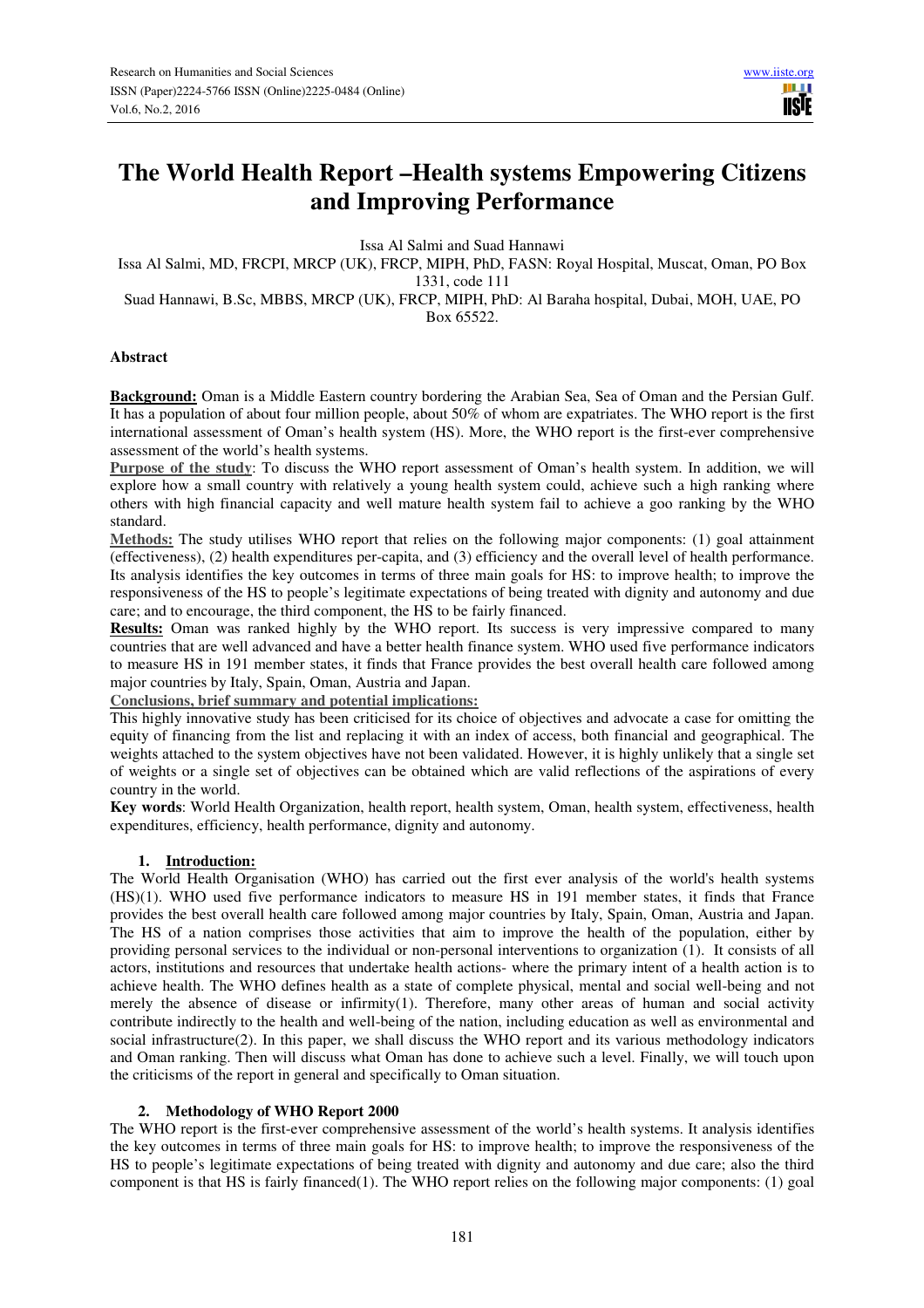ШT **TISIE** 

# **The World Health Report –Health systems Empowering Citizens and Improving Performance**

Issa Al Salmi and Suad Hannawi

Issa Al Salmi, MD, FRCPI, MRCP (UK), FRCP, MIPH, PhD, FASN: Royal Hospital, Muscat, Oman, PO Box 1331, code 111

Suad Hannawi, B.Sc, MBBS, MRCP (UK), FRCP, MIPH, PhD: Al Baraha hospital, Dubai, MOH, UAE, PO Box 65522.

## **Abstract**

**Background:** Oman is a Middle Eastern country bordering the Arabian Sea, Sea of Oman and the Persian Gulf. It has a population of about four million people, about 50% of whom are expatriates. The WHO report is the first international assessment of Oman's health system (HS). More, the WHO report is the first-ever comprehensive assessment of the world's health systems.

**Purpose of the study**: To discuss the WHO report assessment of Oman's health system. In addition, we will explore how a small country with relatively a young health system could, achieve such a high ranking where others with high financial capacity and well mature health system fail to achieve a goo ranking by the WHO standard.

**Methods:** The study utilises WHO report that relies on the following major components: (1) goal attainment (effectiveness), (2) health expenditures per-capita, and (3) efficiency and the overall level of health performance. Its analysis identifies the key outcomes in terms of three main goals for HS: to improve health; to improve the responsiveness of the HS to people's legitimate expectations of being treated with dignity and autonomy and due care; and to encourage, the third component, the HS to be fairly financed.

**Results:** Oman was ranked highly by the WHO report. Its success is very impressive compared to many countries that are well advanced and have a better health finance system. WHO used five performance indicators to measure HS in 191 member states, it finds that France provides the best overall health care followed among major countries by Italy, Spain, Oman, Austria and Japan.

**Conclusions, brief summary and potential implications:**

This highly innovative study has been criticised for its choice of objectives and advocate a case for omitting the equity of financing from the list and replacing it with an index of access, both financial and geographical. The weights attached to the system objectives have not been validated. However, it is highly unlikely that a single set of weights or a single set of objectives can be obtained which are valid reflections of the aspirations of every country in the world.

**Key words**: World Health Organization, health report, health system, Oman, health system, effectiveness, health expenditures, efficiency, health performance, dignity and autonomy.

## **1. Introduction:**

The World Health Organisation (WHO) has carried out the first ever analysis of the world's health systems (HS)(1). WHO used five performance indicators to measure HS in 191 member states, it finds that France provides the best overall health care followed among major countries by Italy, Spain, Oman, Austria and Japan. The HS of a nation comprises those activities that aim to improve the health of the population, either by providing personal services to the individual or non-personal interventions to organization (1). It consists of all actors, institutions and resources that undertake health actions- where the primary intent of a health action is to achieve health. The WHO defines health as a state of complete physical, mental and social well-being and not merely the absence of disease or infirmity(1). Therefore, many other areas of human and social activity contribute indirectly to the health and well-being of the nation, including education as well as environmental and social infrastructure(2). In this paper, we shall discuss the WHO report and its various methodology indicators and Oman ranking. Then will discuss what Oman has done to achieve such a level. Finally, we will touch upon the criticisms of the report in general and specifically to Oman situation.

## **2. Methodology of WHO Report 2000**

The WHO report is the first-ever comprehensive assessment of the world's health systems. It analysis identifies the key outcomes in terms of three main goals for HS: to improve health; to improve the responsiveness of the HS to people's legitimate expectations of being treated with dignity and autonomy and due care; also the third component is that HS is fairly financed(1). The WHO report relies on the following major components: (1) goal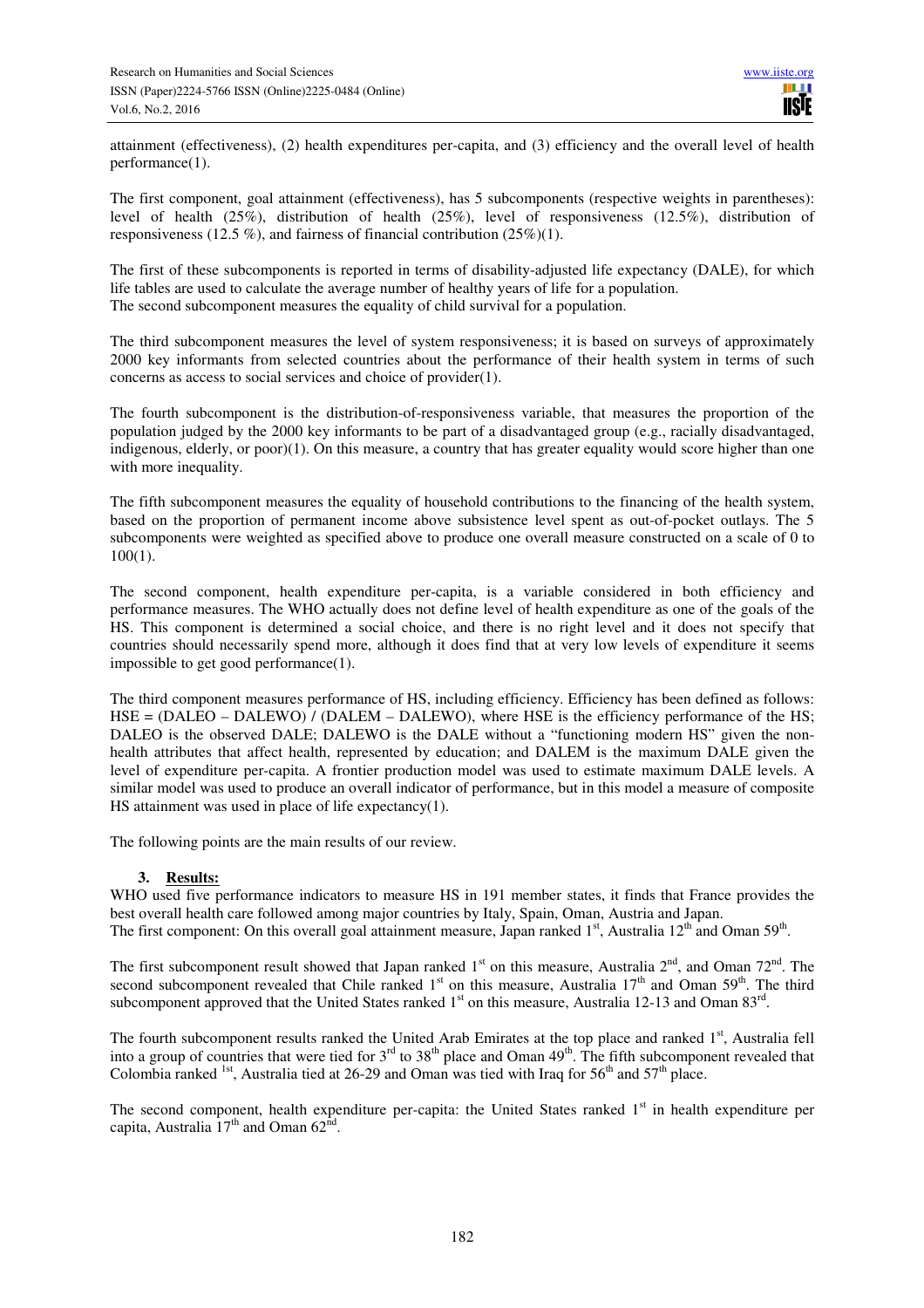attainment (effectiveness), (2) health expenditures per-capita, and (3) efficiency and the overall level of health performance(1).

The first component, goal attainment (effectiveness), has 5 subcomponents (respective weights in parentheses): level of health (25%), distribution of health (25%), level of responsiveness (12.5%), distribution of responsiveness (12.5 %), and fairness of financial contribution (25%)(1).

The first of these subcomponents is reported in terms of disability-adjusted life expectancy (DALE), for which life tables are used to calculate the average number of healthy years of life for a population. The second subcomponent measures the equality of child survival for a population.

The third subcomponent measures the level of system responsiveness; it is based on surveys of approximately 2000 key informants from selected countries about the performance of their health system in terms of such concerns as access to social services and choice of provider(1).

The fourth subcomponent is the distribution-of-responsiveness variable, that measures the proportion of the population judged by the 2000 key informants to be part of a disadvantaged group (e.g., racially disadvantaged, indigenous, elderly, or poor)(1). On this measure, a country that has greater equality would score higher than one with more inequality.

The fifth subcomponent measures the equality of household contributions to the financing of the health system, based on the proportion of permanent income above subsistence level spent as out-of-pocket outlays. The 5 subcomponents were weighted as specified above to produce one overall measure constructed on a scale of 0 to 100(1).

The second component, health expenditure per-capita, is a variable considered in both efficiency and performance measures. The WHO actually does not define level of health expenditure as one of the goals of the HS. This component is determined a social choice, and there is no right level and it does not specify that countries should necessarily spend more, although it does find that at very low levels of expenditure it seems impossible to get good performance(1).

The third component measures performance of HS, including efficiency. Efficiency has been defined as follows: HSE = (DALEO – DALEWO) / (DALEM – DALEWO), where HSE is the efficiency performance of the HS; DALEO is the observed DALE; DALEWO is the DALE without a "functioning modern HS" given the nonhealth attributes that affect health, represented by education; and DALEM is the maximum DALE given the level of expenditure per-capita. A frontier production model was used to estimate maximum DALE levels. A similar model was used to produce an overall indicator of performance, but in this model a measure of composite HS attainment was used in place of life expectancy(1).

The following points are the main results of our review.

## **3. Results:**

WHO used five performance indicators to measure HS in 191 member states, it finds that France provides the best overall health care followed among major countries by Italy, Spain, Oman, Austria and Japan. The first component: On this overall goal attainment measure, Japan ranked  $1<sup>st</sup>$ , Australia  $12<sup>th</sup>$  and Oman 59<sup>th</sup>.

The first subcomponent result showed that Japan ranked  $1<sup>st</sup>$  on this measure, Australia  $2<sup>nd</sup>$ , and Oman  $72<sup>nd</sup>$ . The second subcomponent revealed that Chile ranked  $1<sup>st</sup>$  on this measure, Australia  $17<sup>th</sup>$  and Oman 59<sup>th</sup>. The third subcomponent approved that the United States ranked  $1<sup>st</sup>$  on this measure, Australia 12-13 and Oman 83<sup>rd</sup>.

The fourth subcomponent results ranked the United Arab Emirates at the top place and ranked 1<sup>st</sup>, Australia fell into a group of countries that were tied for  $3^{rd}$  to  $38^{th}$  place and Oman  $49^{th}$ . The fifth subcomponent revealed that Colombia ranked <sup>1st</sup>, Australia tied at 26-29 and Oman was tied with Iraq for  $56<sup>th</sup>$  and  $57<sup>th</sup>$  place.

The second component, health expenditure per-capita: the United States ranked  $1<sup>st</sup>$  in health expenditure per capita, Australia  $17<sup>th</sup>$  and Oman 62<sup>nd</sup>.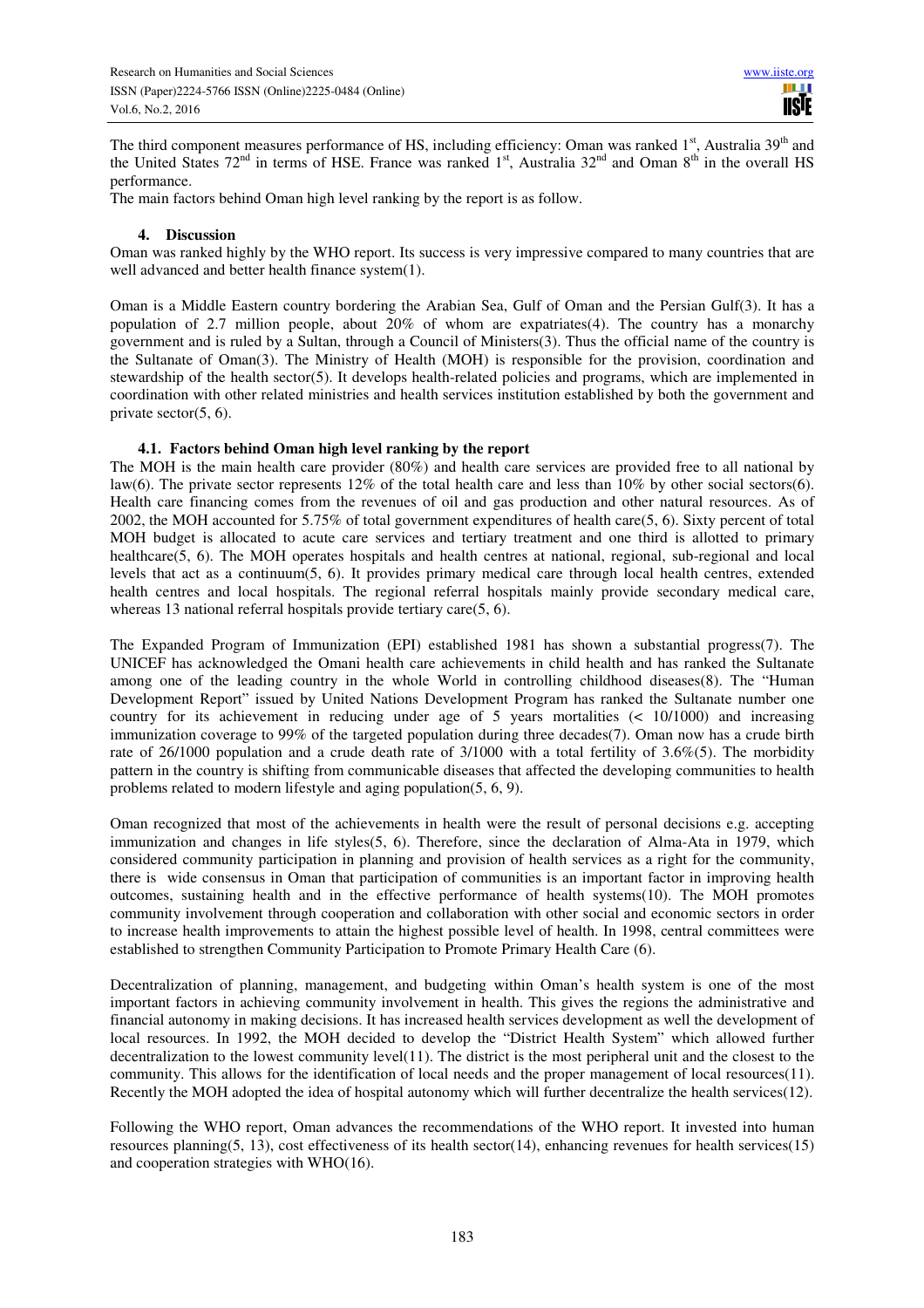The third component measures performance of HS, including efficiency: Oman was ranked 1<sup>st</sup>, Australia 39<sup>th</sup> and the United States  $72^{nd}$  in terms of HSE. France was ranked  $1^{st}$ , Australia  $32^{nd}$  and Oman  $8^{th}$  in the overall HS performance.

The main factors behind Oman high level ranking by the report is as follow.

#### **4. Discussion**

Oman was ranked highly by the WHO report. Its success is very impressive compared to many countries that are well advanced and better health finance system(1).

Oman is a Middle Eastern country bordering the Arabian Sea, Gulf of Oman and the Persian Gulf(3). It has a population of 2.7 million people, about 20% of whom are expatriates(4). The country has a monarchy government and is ruled by a Sultan, through a Council of Ministers(3). Thus the official name of the country is the Sultanate of Oman(3). The Ministry of Health (MOH) is responsible for the provision, coordination and stewardship of the health sector(5). It develops health-related policies and programs, which are implemented in coordination with other related ministries and health services institution established by both the government and private sector(5, 6).

## **4.1. Factors behind Oman high level ranking by the report**

The MOH is the main health care provider (80%) and health care services are provided free to all national by law(6). The private sector represents 12% of the total health care and less than 10% by other social sectors(6). Health care financing comes from the revenues of oil and gas production and other natural resources. As of 2002, the MOH accounted for 5.75% of total government expenditures of health care(5, 6). Sixty percent of total MOH budget is allocated to acute care services and tertiary treatment and one third is allotted to primary healthcare(5, 6). The MOH operates hospitals and health centres at national, regional, sub-regional and local levels that act as a continuum(5, 6). It provides primary medical care through local health centres, extended health centres and local hospitals. The regional referral hospitals mainly provide secondary medical care, whereas 13 national referral hospitals provide tertiary care(5, 6).

The Expanded Program of Immunization (EPI) established 1981 has shown a substantial progress(7). The UNICEF has acknowledged the Omani health care achievements in child health and has ranked the Sultanate among one of the leading country in the whole World in controlling childhood diseases(8). The "Human Development Report" issued by United Nations Development Program has ranked the Sultanate number one country for its achievement in reducing under age of 5 years mortalities (< 10/1000) and increasing immunization coverage to 99% of the targeted population during three decades(7). Oman now has a crude birth rate of 26/1000 population and a crude death rate of 3/1000 with a total fertility of 3.6%(5). The morbidity pattern in the country is shifting from communicable diseases that affected the developing communities to health problems related to modern lifestyle and aging population(5, 6, 9).

Oman recognized that most of the achievements in health were the result of personal decisions e.g. accepting immunization and changes in life styles(5, 6). Therefore, since the declaration of Alma-Ata in 1979, which considered community participation in planning and provision of health services as a right for the community, there is wide consensus in Oman that participation of communities is an important factor in improving health outcomes, sustaining health and in the effective performance of health systems(10). The MOH promotes community involvement through cooperation and collaboration with other social and economic sectors in order to increase health improvements to attain the highest possible level of health. In 1998, central committees were established to strengthen Community Participation to Promote Primary Health Care (6).

Decentralization of planning, management, and budgeting within Oman's health system is one of the most important factors in achieving community involvement in health. This gives the regions the administrative and financial autonomy in making decisions. It has increased health services development as well the development of local resources. In 1992, the MOH decided to develop the "District Health System" which allowed further decentralization to the lowest community level(11). The district is the most peripheral unit and the closest to the community. This allows for the identification of local needs and the proper management of local resources(11). Recently the MOH adopted the idea of hospital autonomy which will further decentralize the health services(12).

Following the WHO report, Oman advances the recommendations of the WHO report. It invested into human resources planning(5, 13), cost effectiveness of its health sector(14), enhancing revenues for health services(15) and cooperation strategies with WHO(16).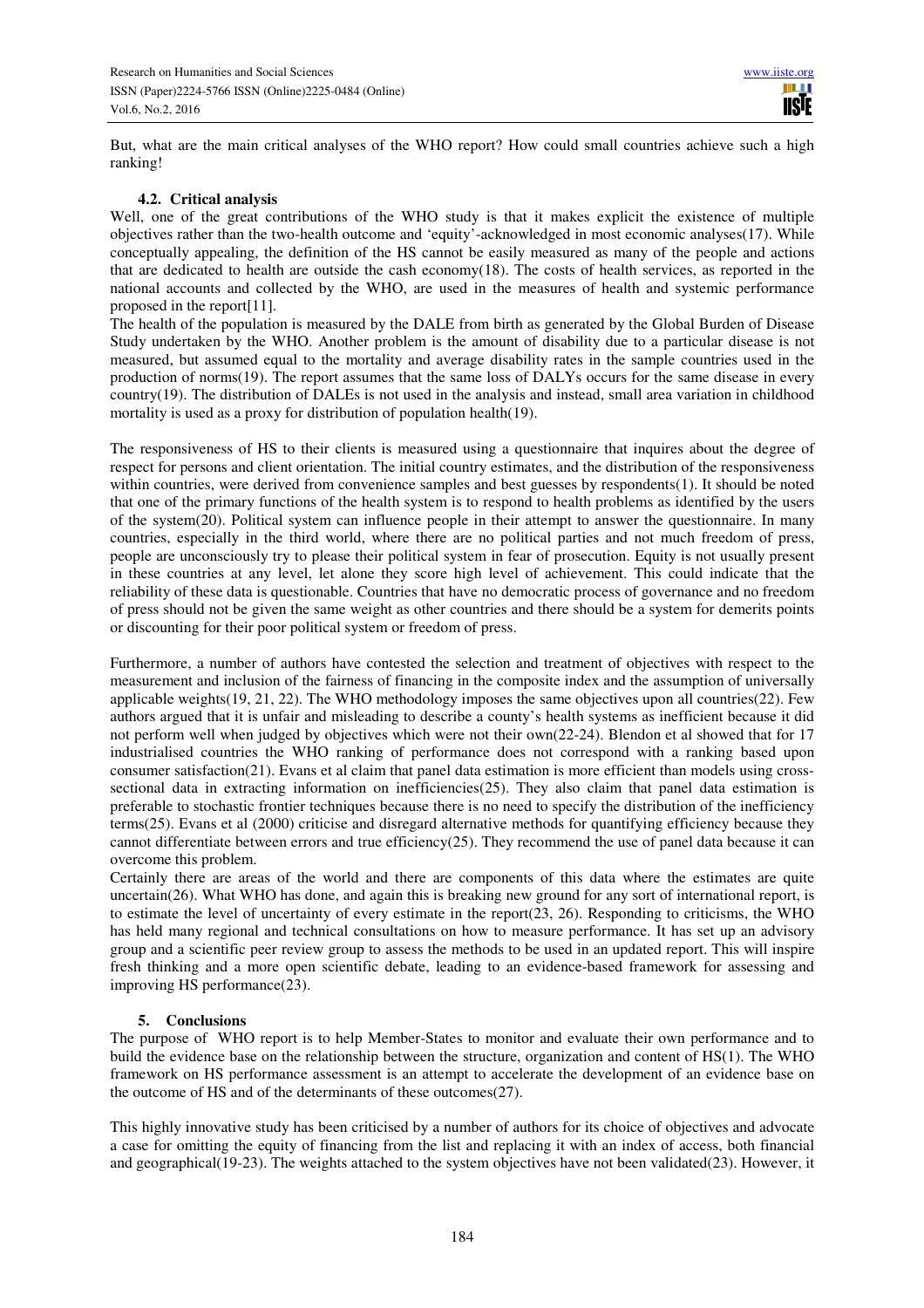But, what are the main critical analyses of the WHO report? How could small countries achieve such a high ranking!

#### **4.2. Critical analysis**

Well, one of the great contributions of the WHO study is that it makes explicit the existence of multiple objectives rather than the two-health outcome and 'equity'-acknowledged in most economic analyses(17). While conceptually appealing, the definition of the HS cannot be easily measured as many of the people and actions that are dedicated to health are outside the cash economy(18). The costs of health services, as reported in the national accounts and collected by the WHO, are used in the measures of health and systemic performance proposed in the report[11].

The health of the population is measured by the DALE from birth as generated by the Global Burden of Disease Study undertaken by the WHO. Another problem is the amount of disability due to a particular disease is not measured, but assumed equal to the mortality and average disability rates in the sample countries used in the production of norms(19). The report assumes that the same loss of DALYs occurs for the same disease in every country(19). The distribution of DALEs is not used in the analysis and instead, small area variation in childhood mortality is used as a proxy for distribution of population health(19).

The responsiveness of HS to their clients is measured using a questionnaire that inquires about the degree of respect for persons and client orientation. The initial country estimates, and the distribution of the responsiveness within countries, were derived from convenience samples and best guesses by respondents(1). It should be noted that one of the primary functions of the health system is to respond to health problems as identified by the users of the system(20). Political system can influence people in their attempt to answer the questionnaire. In many countries, especially in the third world, where there are no political parties and not much freedom of press, people are unconsciously try to please their political system in fear of prosecution. Equity is not usually present in these countries at any level, let alone they score high level of achievement. This could indicate that the reliability of these data is questionable. Countries that have no democratic process of governance and no freedom of press should not be given the same weight as other countries and there should be a system for demerits points or discounting for their poor political system or freedom of press.

Furthermore, a number of authors have contested the selection and treatment of objectives with respect to the measurement and inclusion of the fairness of financing in the composite index and the assumption of universally applicable weights(19, 21, 22). The WHO methodology imposes the same objectives upon all countries(22). Few authors argued that it is unfair and misleading to describe a county's health systems as inefficient because it did not perform well when judged by objectives which were not their own(22-24). Blendon et al showed that for 17 industrialised countries the WHO ranking of performance does not correspond with a ranking based upon consumer satisfaction(21). Evans et al claim that panel data estimation is more efficient than models using crosssectional data in extracting information on inefficiencies(25). They also claim that panel data estimation is preferable to stochastic frontier techniques because there is no need to specify the distribution of the inefficiency terms(25). Evans et al (2000) criticise and disregard alternative methods for quantifying efficiency because they cannot differentiate between errors and true efficiency( $25$ ). They recommend the use of panel data because it can overcome this problem.

Certainly there are areas of the world and there are components of this data where the estimates are quite uncertain(26). What WHO has done, and again this is breaking new ground for any sort of international report, is to estimate the level of uncertainty of every estimate in the report $(23, 26)$ . Responding to criticisms, the WHO has held many regional and technical consultations on how to measure performance. It has set up an advisory group and a scientific peer review group to assess the methods to be used in an updated report. This will inspire fresh thinking and a more open scientific debate, leading to an evidence-based framework for assessing and improving HS performance(23).

## **5. Conclusions**

The purpose of WHO report is to help Member-States to monitor and evaluate their own performance and to build the evidence base on the relationship between the structure, organization and content of HS(1). The WHO framework on HS performance assessment is an attempt to accelerate the development of an evidence base on the outcome of HS and of the determinants of these outcomes(27).

This highly innovative study has been criticised by a number of authors for its choice of objectives and advocate a case for omitting the equity of financing from the list and replacing it with an index of access, both financial and geographical(19-23). The weights attached to the system objectives have not been validated(23). However, it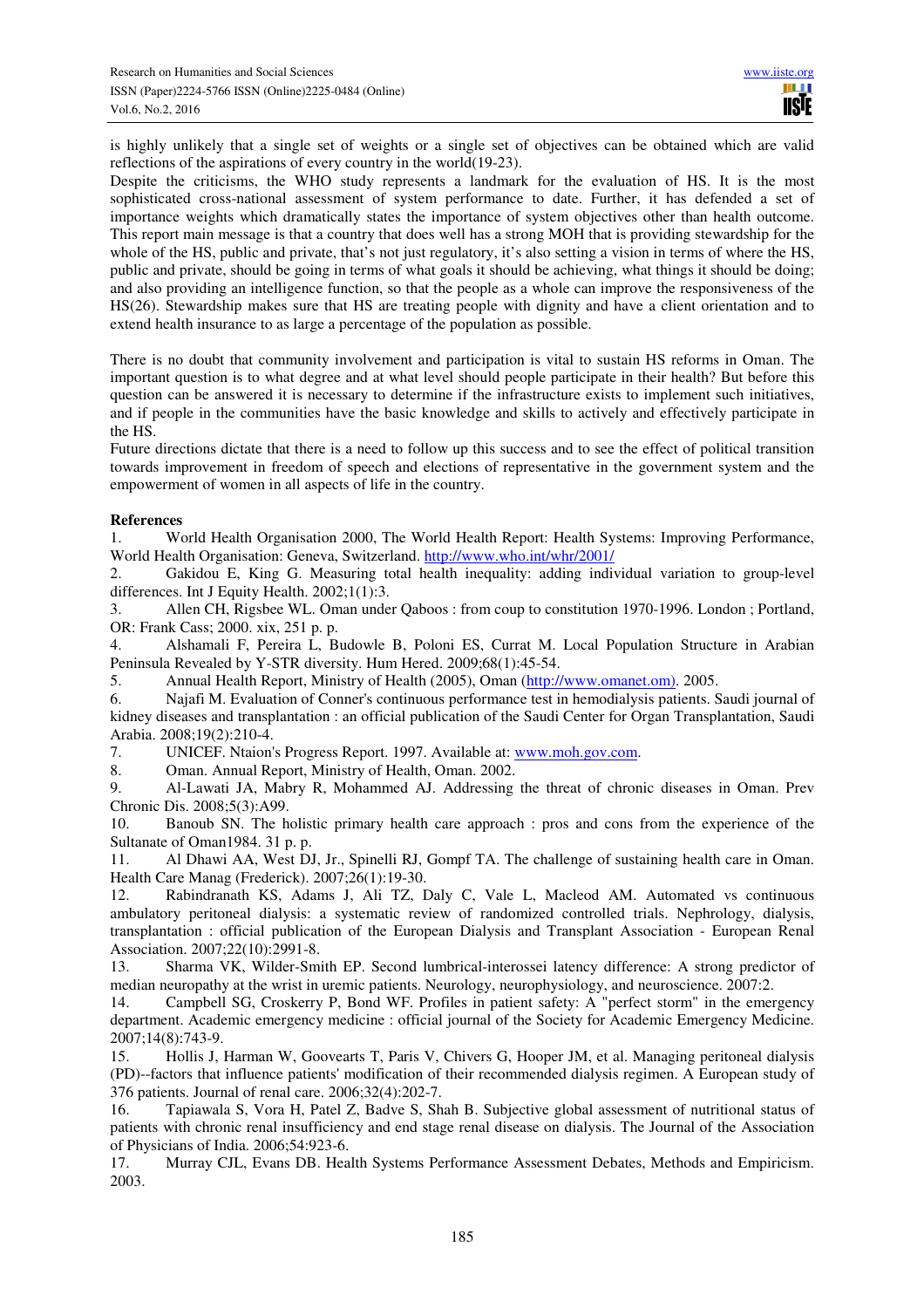is highly unlikely that a single set of weights or a single set of objectives can be obtained which are valid reflections of the aspirations of every country in the world(19-23).

Despite the criticisms, the WHO study represents a landmark for the evaluation of HS. It is the most sophisticated cross-national assessment of system performance to date. Further, it has defended a set of importance weights which dramatically states the importance of system objectives other than health outcome. This report main message is that a country that does well has a strong MOH that is providing stewardship for the whole of the HS, public and private, that's not just regulatory, it's also setting a vision in terms of where the HS, public and private, should be going in terms of what goals it should be achieving, what things it should be doing; and also providing an intelligence function, so that the people as a whole can improve the responsiveness of the HS(26). Stewardship makes sure that HS are treating people with dignity and have a client orientation and to extend health insurance to as large a percentage of the population as possible.

There is no doubt that community involvement and participation is vital to sustain HS reforms in Oman. The important question is to what degree and at what level should people participate in their health? But before this question can be answered it is necessary to determine if the infrastructure exists to implement such initiatives, and if people in the communities have the basic knowledge and skills to actively and effectively participate in the HS.

Future directions dictate that there is a need to follow up this success and to see the effect of political transition towards improvement in freedom of speech and elections of representative in the government system and the empowerment of women in all aspects of life in the country.

## **References**

1. World Health Organisation 2000, The World Health Report: Health Systems: Improving Performance, World Health Organisation: Geneva, Switzerland. http://www.who.int/whr/2001/

2. Gakidou E, King G. Measuring total health inequality: adding individual variation to group-level differences. Int J Equity Health. 2002;1(1):3.

3. Allen CH, Rigsbee WL. Oman under Qaboos : from coup to constitution 1970-1996. London ; Portland, OR: Frank Cass; 2000. xix, 251 p. p.

4. Alshamali F, Pereira L, Budowle B, Poloni ES, Currat M. Local Population Structure in Arabian Peninsula Revealed by Y-STR diversity. Hum Hered. 2009;68(1):45-54.

5. Annual Health Report, Ministry of Health (2005), Oman (http://www.omanet.om). 2005.

6. Najafi M. Evaluation of Conner's continuous performance test in hemodialysis patients. Saudi journal of kidney diseases and transplantation : an official publication of the Saudi Center for Organ Transplantation, Saudi Arabia. 2008;19(2):210-4.

7. UNICEF. Ntaion's Progress Report. 1997. Available at: www.moh.gov.com.

8. Oman. Annual Report, Ministry of Health, Oman. 2002.

9. Al-Lawati JA, Mabry R, Mohammed AJ. Addressing the threat of chronic diseases in Oman. Prev Chronic Dis. 2008;5(3):A99.

10. Banoub SN. The holistic primary health care approach : pros and cons from the experience of the Sultanate of Oman1984. 31 p. p.

11. Al Dhawi AA, West DJ, Jr., Spinelli RJ, Gompf TA. The challenge of sustaining health care in Oman. Health Care Manag (Frederick). 2007;26(1):19-30.

12. Rabindranath KS, Adams J, Ali TZ, Daly C, Vale L, Macleod AM. Automated vs continuous ambulatory peritoneal dialysis: a systematic review of randomized controlled trials. Nephrology, dialysis, transplantation : official publication of the European Dialysis and Transplant Association - European Renal Association. 2007;22(10):2991-8.

13. Sharma VK, Wilder-Smith EP. Second lumbrical-interossei latency difference: A strong predictor of median neuropathy at the wrist in uremic patients. Neurology, neurophysiology, and neuroscience. 2007:2.

14. Campbell SG, Croskerry P, Bond WF. Profiles in patient safety: A "perfect storm" in the emergency department. Academic emergency medicine : official journal of the Society for Academic Emergency Medicine. 2007;14(8):743-9.

15. Hollis J, Harman W, Goovearts T, Paris V, Chivers G, Hooper JM, et al. Managing peritoneal dialysis (PD)--factors that influence patients' modification of their recommended dialysis regimen. A European study of 376 patients. Journal of renal care. 2006;32(4):202-7.

16. Tapiawala S, Vora H, Patel Z, Badve S, Shah B. Subjective global assessment of nutritional status of patients with chronic renal insufficiency and end stage renal disease on dialysis. The Journal of the Association of Physicians of India. 2006;54:923-6.

17. Murray CJL, Evans DB. Health Systems Performance Assessment Debates, Methods and Empiricism. 2003.